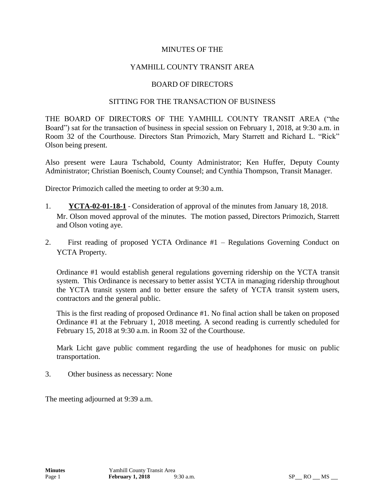### MINUTES OF THE

## YAMHILL COUNTY TRANSIT AREA

### BOARD OF DIRECTORS

#### SITTING FOR THE TRANSACTION OF BUSINESS

THE BOARD OF DIRECTORS OF THE YAMHILL COUNTY TRANSIT AREA ("the Board") sat for the transaction of business in special session on February 1, 2018, at 9:30 a.m. in Room 32 of the Courthouse. Directors Stan Primozich, Mary Starrett and Richard L. "Rick" Olson being present.

Also present were Laura Tschabold, County Administrator; Ken Huffer, Deputy County Administrator; Christian Boenisch, County Counsel; and Cynthia Thompson, Transit Manager.

Director Primozich called the meeting to order at 9:30 a.m.

- 1. **YCTA-02-01-18-1** Consideration of approval of the minutes from January 18, 2018. Mr. Olson moved approval of the minutes. The motion passed, Directors Primozich, Starrett and Olson voting aye.
- 2. First reading of proposed YCTA Ordinance #1 Regulations Governing Conduct on YCTA Property.

Ordinance #1 would establish general regulations governing ridership on the YCTA transit system. This Ordinance is necessary to better assist YCTA in managing ridership throughout the YCTA transit system and to better ensure the safety of YCTA transit system users, contractors and the general public.

This is the first reading of proposed Ordinance #1. No final action shall be taken on proposed Ordinance #1 at the February 1, 2018 meeting. A second reading is currently scheduled for February 15, 2018 at 9:30 a.m. in Room 32 of the Courthouse.

Mark Licht gave public comment regarding the use of headphones for music on public transportation.

3. Other business as necessary: None

The meeting adjourned at 9:39 a.m.